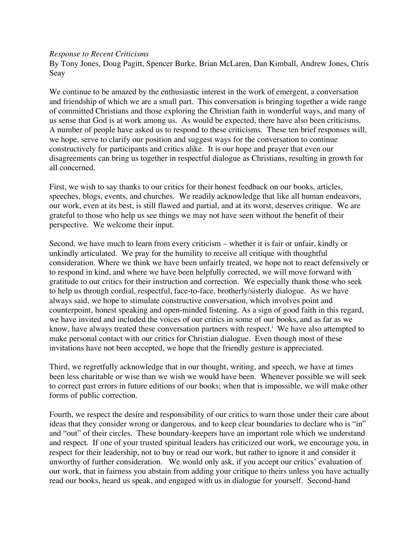## *Response to Recent Criticisms*

By Tony Jones, Doug Pagitt, Spencer Burke, Brian McLaren, Dan Kimball, Andrew Jones, Chris Seay

We continue to be amazed by the enthusiastic interest in the work of emergent, a conversation and friendship of which we are a small part. This conversation is bringing together a wide range of committed Christians and those exploring the Christian faith in wonderful ways, and many of us sense that God is at work among us. As would be expected, there have also been criticisms. A number of people have asked us to respond to these criticisms. These ten brief responses will, we hope, serve to clarify our position and suggest ways for the conversation to continue constructively for participants and critics alike. It is our hope and prayer that even our disagreements can bring us together in respectful dialogue as Christians, resulting in growth for all concerned.

First, we wish to say thanks to our critics for their honest feedback on our books, articles, speeches, blogs, events, and churches. We readily acknowledge that like all human endeavors, our work, even at its best, is still flawed and partial, and at its worst, deserves critique. We are grateful to those who help us see things we may not have seen without the benefit of their perspective. We welcome their input.

Second, we have much to learn from every criticism – whether it is fair or unfair, kindly or unkindly articulated. We pray for the humility to receive all critique with thoughtful consideration. Where we think we have been unfairly treated, we hope not to react defensively or to respond in kind, and where we have been helpfully corrected, we will move forward with gratitude to our critics for their instruction and correction. We especially thank those who seek to help us through cordial, respectful, face-to-face, brotherly/sisterly dialogue. As we have always said, we hope to stimulate constructive conversation, which involves point and counterpoint, honest speaking and open-minded listening. As a sign of good faith in this regard, we have invited and included the voices of our critics in some of our books, and as far as we know, have always treated these conversation partners with respect.<sup>1</sup> We have also attempted to make personal contact with our critics for Christian dialogue. Even though most of these invitations have not been accepted, we hope that the friendly gesture is appreciated.

Third, we regretfully acknowledge that in our thought, writing, and speech, we have at times been less charitable or wise than we wish we would have been. Whenever possible we will seek to correct past errors in future editions of our books; when that is impossible, we will make other forms of public correction.

Fourth, we respect the desire and responsibility of our critics to warn those under their care about ideas that they consider wrong or dangerous, and to keep clear boundaries to declare who is "in" and "out" of their circles. These boundary-keepers have an important role which we understand and respect. If one of your trusted spiritual leaders has criticized our work, we encourage you, in respect for their leadership, not to buy or read our work, but rather to ignore it and consider it unworthy of further consideration. We would only ask, if you accept our critics' evaluation of our work, that in fairness you abstain from adding your critique to theirs unless you have actually read our books, heard us speak, and engaged with us in dialogue for yourself. Second-hand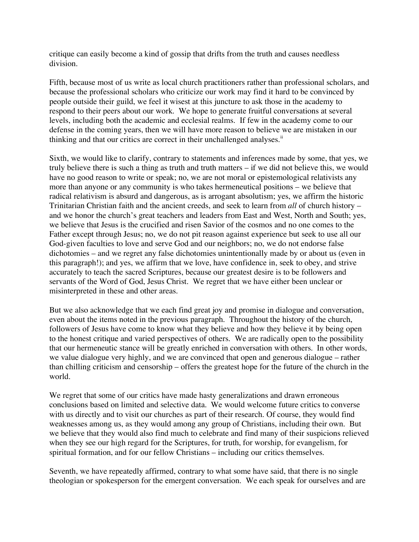critique can easily become a kind of gossip that drifts from the truth and causes needless division.

Fifth, because most of us write as local church practitioners rather than professional scholars, and because the professional scholars who criticize our work may find it hard to be convinced by people outside their guild, we feel it wisest at this juncture to ask those in the academy to respond to their peers about our work. We hope to generate fruitful conversations at several levels, including both the academic and ecclesial realms. If few in the academy come to our defense in the coming years, then we will have more reason to believe we are mistaken in our thinking and that our critics are correct in their unchallenged analyses.<sup>ii</sup>

Sixth, we would like to clarify, contrary to statements and inferences made by some, that yes, we truly believe there is such a thing as truth and truth matters – if we did not believe this, we would have no good reason to write or speak; no, we are not moral or epistemological relativists any more than anyone or any community is who takes hermeneutical positions – we believe that radical relativism is absurd and dangerous, as is arrogant absolutism; yes, we affirm the historic Trinitarian Christian faith and the ancient creeds, and seek to learn from *all* of church history – and we honor the church's great teachers and leaders from East and West, North and South; yes, we believe that Jesus is the crucified and risen Savior of the cosmos and no one comes to the Father except through Jesus; no, we do not pit reason against experience but seek to use all our God-given faculties to love and serve God and our neighbors; no, we do not endorse false dichotomies – and we regret any false dichotomies unintentionally made by or about us (even in this paragraph!); and yes, we affirm that we love, have confidence in, seek to obey, and strive accurately to teach the sacred Scriptures, because our greatest desire is to be followers and servants of the Word of God, Jesus Christ. We regret that we have either been unclear or misinterpreted in these and other areas.

But we also acknowledge that we each find great joy and promise in dialogue and conversation, even about the items noted in the previous paragraph. Throughout the history of the church, followers of Jesus have come to know what they believe and how they believe it by being open to the honest critique and varied perspectives of others. We are radically open to the possibility that our hermeneutic stance will be greatly enriched in conversation with others. In other words, we value dialogue very highly, and we are convinced that open and generous dialogue – rather than chilling criticism and censorship – offers the greatest hope for the future of the church in the world.

We regret that some of our critics have made hasty generalizations and drawn erroneous conclusions based on limited and selective data. We would welcome future critics to converse with us directly and to visit our churches as part of their research. Of course, they would find weaknesses among us, as they would among any group of Christians, including their own. But we believe that they would also find much to celebrate and find many of their suspicions relieved when they see our high regard for the Scriptures, for truth, for worship, for evangelism, for spiritual formation, and for our fellow Christians – including our critics themselves.

Seventh, we have repeatedly affirmed, contrary to what some have said, that there is no single theologian or spokesperson for the emergent conversation. We each speak for ourselves and are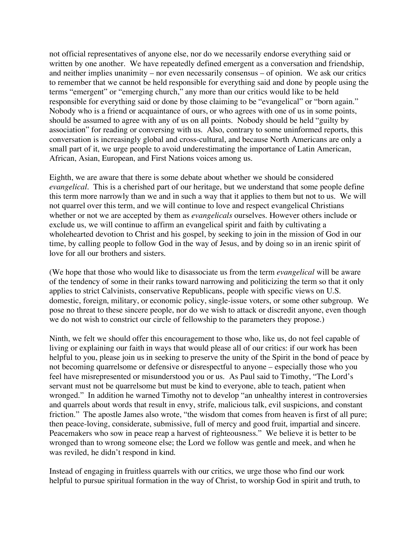not official representatives of anyone else, nor do we necessarily endorse everything said or written by one another. We have repeatedly defined emergent as a conversation and friendship, and neither implies unanimity – nor even necessarily consensus – of opinion. We ask our critics to remember that we cannot be held responsible for everything said and done by people using the terms "emergent" or "emerging church," any more than our critics would like to be held responsible for everything said or done by those claiming to be "evangelical" or "born again." Nobody who is a friend or acquaintance of ours, or who agrees with one of us in some points, should be assumed to agree with any of us on all points. Nobody should be held "guilty by association" for reading or conversing with us. Also, contrary to some uninformed reports, this conversation is increasingly global and cross-cultural, and because North Americans are only a small part of it, we urge people to avoid underestimating the importance of Latin American, African, Asian, European, and First Nations voices among us.

Eighth, we are aware that there is some debate about whether we should be considered *evangelical*. This is a cherished part of our heritage, but we understand that some people define this term more narrowly than we and in such a way that it applies to them but not to us. We will not quarrel over this term, and we will continue to love and respect evangelical Christians whether or not we are accepted by them as *evangelicals* ourselves. However others include or exclude us, we will continue to affirm an evangelical spirit and faith by cultivating a wholehearted devotion to Christ and his gospel, by seeking to join in the mission of God in our time, by calling people to follow God in the way of Jesus, and by doing so in an irenic spirit of love for all our brothers and sisters.

(We hope that those who would like to disassociate us from the term *evangelical* will be aware of the tendency of some in their ranks toward narrowing and politicizing the term so that it only applies to strict Calvinists, conservative Republicans, people with specific views on U.S. domestic, foreign, military, or economic policy, single-issue voters, or some other subgroup. We pose no threat to these sincere people, nor do we wish to attack or discredit anyone, even though we do not wish to constrict our circle of fellowship to the parameters they propose.)

Ninth, we felt we should offer this encouragement to those who, like us, do not feel capable of living or explaining our faith in ways that would please all of our critics: if our work has been helpful to you, please join us in seeking to preserve the unity of the Spirit in the bond of peace by not becoming quarrelsome or defensive or disrespectful to anyone – especially those who you feel have misrepresented or misunderstood you or us. As Paul said to Timothy, "The Lord's servant must not be quarrelsome but must be kind to everyone, able to teach, patient when wronged." In addition he warned Timothy not to develop "an unhealthy interest in controversies and quarrels about words that result in envy, strife, malicious talk, evil suspicions, and constant friction." The apostle James also wrote, "the wisdom that comes from heaven is first of all pure; then peace-loving, considerate, submissive, full of mercy and good fruit, impartial and sincere. Peacemakers who sow in peace reap a harvest of righteousness." We believe it is better to be wronged than to wrong someone else; the Lord we follow was gentle and meek, and when he was reviled, he didn't respond in kind.

Instead of engaging in fruitless quarrels with our critics, we urge those who find our work helpful to pursue spiritual formation in the way of Christ, to worship God in spirit and truth, to